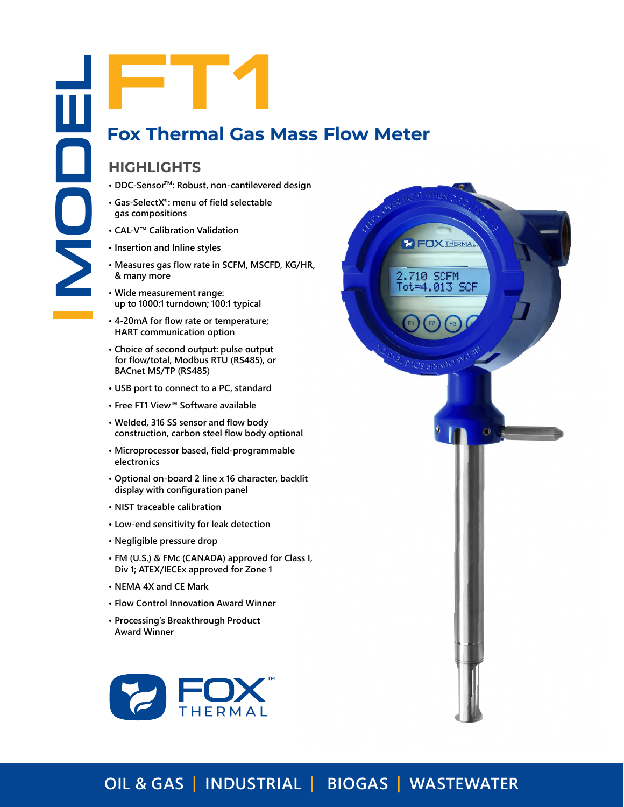# **Fox Thermal Gas Mass Flow Meter**

# **HIGHLIGHTS**

- 
- **• Gas-SelectX®: menu of field selectable gas compositions**
- **• CAL-V™ Calibration Validation**
- **• Insertion and Inline styles**
- **• Measures gas flow rate in SCFM, MSCFD, KG/HR, & many more**
- **• Wide measurement range: up to 1000:1 turndown; 100:1 typical**
- **• 4-20mA for flow rate or temperature; HART communication option**
- **• Choice of second output: pulse output for flow/total, Modbus RTU (RS485), or BACnet MS/TP (RS485)**
- **• USB port to connect to a PC, standard**
- **• Free FT1 View™ Software available**
- **• Welded, 316 SS sensor and flow body construction, carbon steel flow body optional**
- **• Microprocessor based, field-programmable electronics**
- **• Optional on-board 2 line x 16 character, backlit display with configuration panel**
- **• NIST traceable calibration**
- **• Low-end sensitivity for leak detection**
- **• Negligible pressure drop**
- **• FM (U.S.) & FMc (CANADA) approved for Class I, Div 1; ATEX/IECEx approved for Zone 1**
- **• NEMA 4X and CE Mark**
- **• Flow Control Innovation Award Winner**
- **• Processing's Breakthrough Product Award Winner**





# **OIL & GAS | INDUSTRIAL | BIOGAS | WASTEWATER**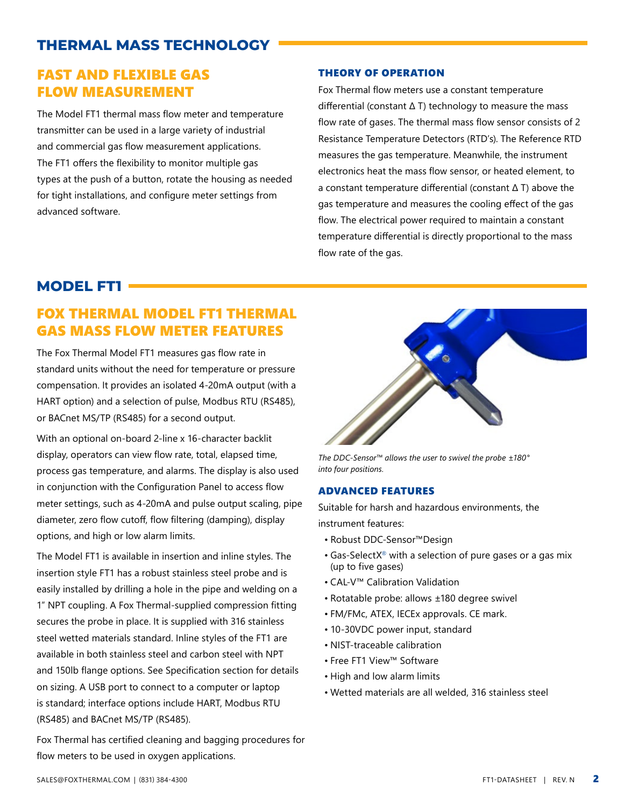# **THERMAL MASS TECHNOLOGY**

# FAST AND FLEXIBLE GAS FLOW MEASUREMENT

The Model FT1 thermal mass flow meter and temperature transmitter can be used in a large variety of industrial and commercial gas flow measurement applications. The FT1 offers the flexibility to monitor multiple gas types at the push of a button, rotate the housing as needed for tight installations, and configure meter settings from advanced software.

### THEORY OF OPERATION

Fox Thermal flow meters use a constant temperature differential (constant Δ T) technology to measure the mass flow rate of gases. The thermal mass flow sensor consists of 2 Resistance Temperature Detectors (RTD's). The Reference RTD measures the gas temperature. Meanwhile, the instrument electronics heat the mass flow sensor, or heated element, to a constant temperature differential (constant Δ T) above the gas temperature and measures the cooling effect of the gas flow. The electrical power required to maintain a constant temperature differential is directly proportional to the mass flow rate of the gas.

# **MODEL FT1**

# FOX THERMAL MODEL FT1 THERMAL GAS MASS FLOW METER FEATURES

The Fox Thermal Model FT1 measures gas flow rate in standard units without the need for temperature or pressure compensation. It provides an isolated 4-20mA output (with a HART option) and a selection of pulse, Modbus RTU (RS485), or BACnet MS/TP (RS485) for a second output.

With an optional on-board 2-line x 16-character backlit display, operators can view flow rate, total, elapsed time, process gas temperature, and alarms. The display is also used in conjunction with the Configuration Panel to access flow meter settings, such as 4-20mA and pulse output scaling, pipe diameter, zero flow cutoff, flow filtering (damping), display options, and high or low alarm limits.

The Model FT1 is available in insertion and inline styles. The insertion style FT1 has a robust stainless steel probe and is easily installed by drilling a hole in the pipe and welding on a 1" NPT coupling. A Fox Thermal-supplied compression fitting secures the probe in place. It is supplied with 316 stainless steel wetted materials standard. Inline styles of the FT1 are available in both stainless steel and carbon steel with NPT and 150lb flange options. See Specification section for details on sizing. A USB port to connect to a computer or laptop is standard; interface options include HART, Modbus RTU (RS485) and BACnet MS/TP (RS485).

Fox Thermal has certified cleaning and bagging procedures for flow meters to be used in oxygen applications.



*The DDC-Sensor™ allows the user to swivel the probe ±180° into four positions.*

### ADVANCED FEATURES

Suitable for harsh and hazardous environments, the instrument features:

- Robust DDC-Sensor™Design
- Gas-SelectX® with a selection of pure gases or a gas mix (up to five gases)
- CAL-V™ Calibration Validation
- Rotatable probe: allows ±180 degree swivel
- FM/FMc, ATEX, IECEx approvals. CE mark.
- 10-30VDC power input, standard
- NIST-traceable calibration
- Free FT1 View™ Software
- High and low alarm limits
- Wetted materials are all welded, 316 stainless steel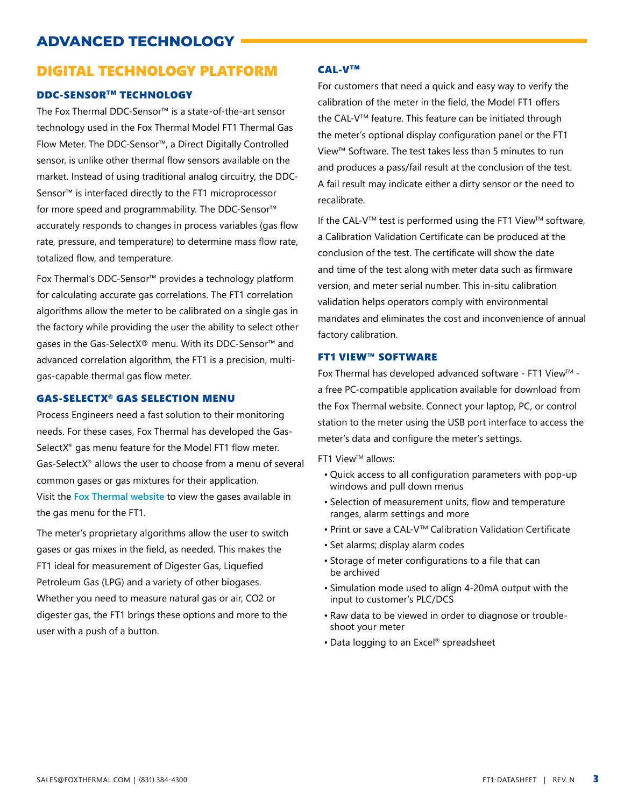# **ADVANCED TECHNOLOGY**

# DIGITAL TECHNOLOGY PLATFORM

### DDC-SENSORTM TECHNOLOGY

The Fox Thermal DDC-Sensor™ is a state-of-the-art sensor technology used in the Fox Thermal Model FT1 Thermal Gas Flow Meter. The DDC-Sensor™, a Direct Digitally Controlled sensor, is unlike other thermal flow sensors available on the market. Instead of using traditional analog circuitry, the DDC-Sensor™ is interfaced directly to the FT1 microprocessor for more speed and programmability. The DDC-Sensor™ accurately responds to changes in process variables (gas flow rate, pressure, and temperature) to determine mass flow rate, totalized flow, and temperature.

Fox Thermal's DDC-Sensor™ provides a technology platform for calculating accurate gas correlations. The FT1 correlation algorithms allow the meter to be calibrated on a single gas in the factory while providing the user the ability to select other gases in the Gas-SelectX® menu. With its DDC-Sensor™ and advanced correlation algorithm, the FT1 is a precision, multigas-capable thermal gas flow meter.

### GAS-SELECTX® GAS SELECTION MENU

Process Engineers need a fast solution to their monitoring needs. For these cases, Fox Thermal has developed the Gas-SelectX® gas menu feature for the Model FT1 flow meter. Gas-SelectX® allows the user to choose from a menu of several common gases or gas mixtures for their application. Visit the **[Fox Thermal website](https://www.foxthermal.com/products/ft1.php#gasSelectX)** to view the gases available in the gas menu for the FT1.

The meter's proprietary algorithms allow the user to switch gases or gas mixes in the field, as needed. This makes the FT1 ideal for measurement of Digester Gas, Liquefied Petroleum Gas (LPG) and a variety of other biogases. Whether you need to measure natural gas or air, CO2 or digester gas, the FT1 brings these options and more to the user with a push of a button.

### CAL-VTM

For customers that need a quick and easy way to verify the calibration of the meter in the field, the Model FT1 offers the CAL-V™ feature. This feature can be initiated through the meter's optional display configuration panel or the FT1 View™ Software. The test takes less than 5 minutes to run and produces a pass/fail result at the conclusion of the test. A fail result may indicate either a dirty sensor or the need to recalibrate.

If the CAL-V™ test is performed using the FT1 View™ software, a Calibration Validation Certificate can be produced at the conclusion of the test. The certificate will show the date and time of the test along with meter data such as firmware version, and meter serial number. This in-situ calibration validation helps operators comply with environmental mandates and eliminates the cost and inconvenience of annual factory calibration.

### FT1 VIEW™ SOFTWARE

Fox Thermal has developed advanced software - FT1 View™ a free PC-compatible application available for download from the Fox Thermal website. Connect your laptop, PC, or control station to the meter using the USB port interface to access the meter's data and configure the meter's settings.

**FT1 View™ allows:** 

- Quick access to all configuration parameters with pop-up windows and pull down menus
- Selection of measurement units, flow and temperature ranges, alarm settings and more
- Print or save a CAL-VTM Calibration Validation Certificate
- Set alarms; display alarm codes
- Storage of meter configurations to a file that can be archived
- Simulation mode used to align 4-20mA output with the input to customer's PLC/DCS
- Raw data to be viewed in order to diagnose or troubleshoot your meter
- Data logging to an Excel® spreadsheet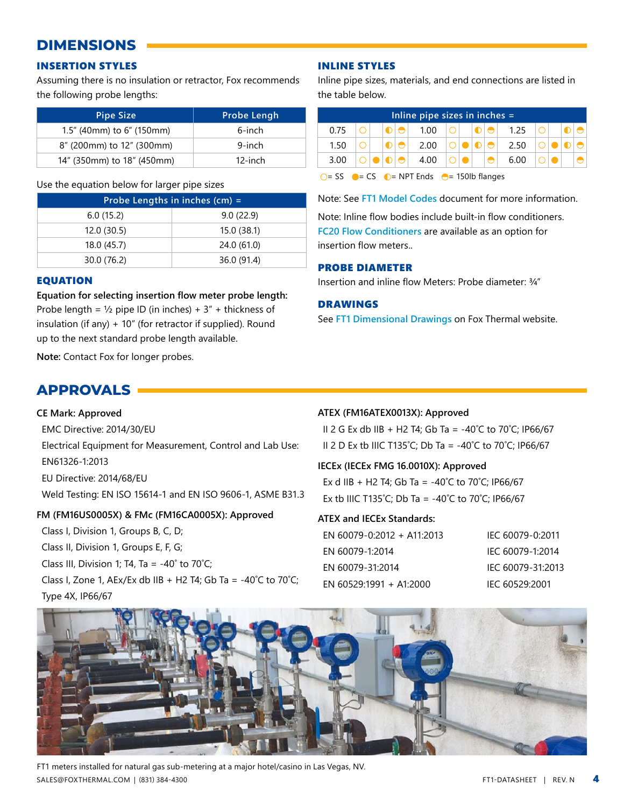# **DIMENSIONS**

# INSERTION STYLES

Assuming there is no insulation or retractor, Fox recommends the following probe lengths:

| <b>Pipe Size</b>             | Probe Lengh |  |  |
|------------------------------|-------------|--|--|
| $1.5$ " (40mm) to 6" (150mm) | 6-inch      |  |  |
| 8" (200mm) to 12" (300mm)    | 9-inch      |  |  |
| 14" (350mm) to 18" (450mm)   | 12-inch     |  |  |

#### Use the equation below for larger pipe sizes

| Probe Lengths in inches $(cm) =$ |             |  |  |  |  |
|----------------------------------|-------------|--|--|--|--|
| 6.0(15.2)                        | 9.0(22.9)   |  |  |  |  |
| 12.0(30.5)                       | 15.0 (38.1) |  |  |  |  |
| 18.0 (45.7)                      | 24.0 (61.0) |  |  |  |  |
| 30.0 (76.2)                      | 36.0 (91.4) |  |  |  |  |

### EQUATION

**Equation for selecting insertion flow meter probe length:** Probe length =  $\frac{1}{2}$  pipe ID (in inches) +  $3''$  + thickness of insulation (if any) + 10" (for retractor if supplied). Round up to the next standard probe length available.

**Note:** Contact Fox for longer probes.

# **APPROVALS**

### **CE Mark: Approved**

EMC Directive: 2014/30/EU

Electrical Equipment for Measurement, Control and Lab Use: EN61326-1:2013

EU Directive: 2014/68/EU

Weld Testing: EN ISO 15614-1 and EN ISO 9606-1, ASME B31.3

### **FM (FM16US0005X) & FMc (FM16CA0005X): Approved**

Class I, Division 1, Groups B, C, D; Class II, Division 1, Groups E, F, G; Class III, Division 1; T4, Ta =  $-40^\circ$  to 70 $°C$ ; Class I, Zone 1, AEx/Ex db IIB + H2 T4; Gb Ta =  $-40^{\circ}$ C to 70 $^{\circ}$ C; Type 4X, IP66/67

## INLINE STYLES

Inline pipe sizes, materials, and end connections are listed in the table below.

| Inline pipe sizes in inches $=$ |  |  |  |  |      |  |  |  |           |      |  |  |
|---------------------------------|--|--|--|--|------|--|--|--|-----------|------|--|--|
| በ 75                            |  |  |  |  | 1.00 |  |  |  |           | 1.25 |  |  |
| 1.50                            |  |  |  |  | 2.00 |  |  |  | $\bigcap$ | 2.50 |  |  |
| 3 O.O                           |  |  |  |  | 4.00 |  |  |  |           | 6.00 |  |  |

 $\bigcirc$  = SS  $\bigcirc$  = CS  $\bigcirc$  = NPT Ends  $\bigcirc$  = 150lb flanges

Note: See **[FT1 Model Codes](https://www.foxthermal.com/products/pdf/ft1/ft1-model-codes.pdf)** document for more information.

Note: Inline flow bodies include built-in flow conditioners. **[FC20 Flow Conditioners](https://www.foxthermal.com/products/pdf/fc20-datasheet.pdf)** are available as an option for insertion flow meters..

### PROBE DIAMETER

Insertion and inline flow Meters: Probe diameter: 3/4"

### DRAWINGS

See **[FT1 Dimensional Drawings](https://www.foxthermal.com/literature/#drawings)** on Fox Thermal website.

### **ATEX (FM16ATEX0013X): Approved**

II 2 G Ex db IIB + H2 T4; Gb Ta = -40˚C to 70˚C; IP66/67 II 2 D Ex tb IIIC T135°C; Db Ta =  $-40^{\circ}$ C to 70°C; IP66/67

**IECEx (IECEx FMG 16.0010X): Approved**

Ex d IIB + H2 T4; Gb Ta = -40°C to 70°C; IP66/67 Ex tb IIIC T135°C; Db Ta = -40°C to 70°C; IP66/67

### **ATEX and IECEx Standards:**

| FN 60079-0:2012 + A11:2013 | IEC 60079-0:2011  |
|----------------------------|-------------------|
| EN 60079-1:2014            | IEC 60079-1:2014  |
| EN 60079-31:2014           | IFC 60079-31:2013 |
| EN 60529:1991 + A1:2000    | IFC 60529:2001    |



SALES@FOXTHERMAL.COM | (831) 384-4300 FT1-DATASHEET | REV. N FT1 meters installed for natural gas sub-metering at a major hotel/casino in Las Vegas, NV.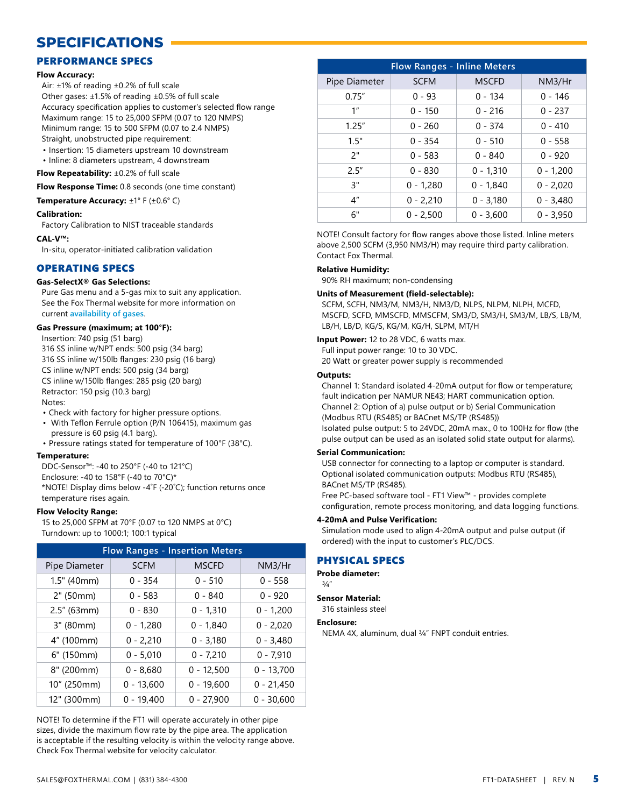# **SPECIFICATIONS**

### PERFORMANCE SPECS

#### **Flow Accuracy:**

Air: ±1% of reading ±0.2% of full scale Other gases: ±1.5% of reading ±0.5% of full scale Accuracy specification applies to customer's selected flow range Maximum range: 15 to 25,000 SFPM (0.07 to 120 NMPS) Minimum range: 15 to 500 SFPM (0.07 to 2.4 NMPS) Straight, unobstructed pipe requirement:

- Insertion: 15 diameters upstream 10 downstream
- Inline: 8 diameters upstream, 4 downstream

**Flow Repeatability:** ±0.2% of full scale

**Flow Response Time:** 0.8 seconds (one time constant)

#### **Temperature Accuracy:** ±1° F (±0.6° C)

#### **Calibration:**

Factory Calibration to NIST traceable standards

#### **CAL-V™:**

In-situ, operator-initiated calibration validation

### OPERATING SPECS

#### **Gas-SelectX® Gas Selections:**

Pure Gas menu and a 5-gas mix to suit any application. See the Fox Thermal website for more information on current **[availability of gases](https://www.foxthermal.com/products/ft1.php#gasSelectX)**.

#### **Gas Pressure (maximum; at 100°F):**

Insertion: 740 psig (51 barg) 316 SS inline w/NPT ends: 500 psig (34 barg) 316 SS inline w/150lb flanges: 230 psig (16 barg) CS inline w/NPT ends: 500 psig (34 barg) CS inline w/150lb flanges: 285 psig (20 barg) Retractor: 150 psig (10.3 barg) Notes:

• Check with factory for higher pressure options.

- With Teflon Ferrule option (P/N 106415), maximum gas pressure is 60 psig (4.1 barg).
- Pressure ratings stated for temperature of 100°F (38°C).

#### **Temperature:**

DDC-Sensor™: -40 to 250°F (-40 to 121°C) Enclosure: -40 to 158°F (-40 to 70°C)\* \*NOTE! Display dims below -4˚F (-20˚C); function returns once temperature rises again.

#### **Flow Velocity Range:**

15 to 25,000 SFPM at 70°F (0.07 to 120 NMPS at 0°C) Turndown: up to 1000:1; 100:1 typical

| <b>Flow Ranges - Insertion Meters</b> |              |              |              |  |  |  |
|---------------------------------------|--------------|--------------|--------------|--|--|--|
| Pipe Diameter                         | <b>SCFM</b>  | <b>MSCFD</b> | NM3/Hr       |  |  |  |
| 1.5" (40mm)                           | $0 - 354$    | $0 - 510$    | $0 - 558$    |  |  |  |
| 2" (50mm)                             | $0 - 583$    | $0 - 840$    | $0 - 920$    |  |  |  |
| $2.5''$ (63mm)                        | $0 - 830$    | $0 - 1,310$  | $0 - 1,200$  |  |  |  |
| 3" (80mm)                             | $0 - 1,280$  | $0 - 1,840$  | $0 - 2,020$  |  |  |  |
| 4" (100mm)                            | $0 - 2,210$  | $0 - 3,180$  | $0 - 3,480$  |  |  |  |
| 6" (150mm)                            | $0 - 5,010$  | $0 - 7,210$  | $0 - 7,910$  |  |  |  |
| 8" (200mm)                            | $0 - 8,680$  | $0 - 12,500$ | $0 - 13,700$ |  |  |  |
| 10" (250mm)                           | $0 - 13,600$ | $0 - 19,600$ | $0 - 21,450$ |  |  |  |
| 12" (300mm)                           | $0 - 19,400$ | $0 - 27,900$ | $0 - 30,600$ |  |  |  |

NOTE! To determine if the FT1 will operate accurately in other pipe sizes, divide the maximum flow rate by the pipe area. The application is acceptable if the resulting velocity is within the velocity range above. [Check Fox Thermal website for velocity calculator.](https://www.foxthermal.com/products/velocitycalculator.php)

| <b>Flow Ranges - Inline Meters</b> |             |              |             |  |  |  |
|------------------------------------|-------------|--------------|-------------|--|--|--|
| Pipe Diameter                      | <b>SCFM</b> | <b>MSCFD</b> | NM3/Hr      |  |  |  |
| 0.75''                             | $0 - 93$    | $0 - 134$    | $0 - 146$   |  |  |  |
| 1 <sup>''</sup>                    | $0 - 150$   | $0 - 216$    | $0 - 237$   |  |  |  |
| 1.25''                             | $0 - 260$   | $0 - 374$    | $0 - 410$   |  |  |  |
| 1.5"                               | $0 - 354$   | $0 - 510$    | $0 - 558$   |  |  |  |
| 2"                                 | $0 - 583$   | $0 - 840$    | $0 - 920$   |  |  |  |
| 2.5''                              | $0 - 830$   | $0 - 1,310$  | $0 - 1,200$ |  |  |  |
| 3"                                 | $0 - 1,280$ | $0 - 1,840$  | $0 - 2,020$ |  |  |  |
| 4 <sup>''</sup>                    | $0 - 2,210$ | $0 - 3,180$  | $0 - 3,480$ |  |  |  |
| 6"                                 | $0 - 2.500$ | $0 - 3.600$  | $0 - 3.950$ |  |  |  |

NOTE! Consult factory for flow ranges above those listed. Inline meters above 2,500 SCFM (3,950 NM3/H) may require third party calibration. Contact Fox Thermal.

#### **Relative Humidity:**

90% RH maximum; non-condensing

#### **Units of Measurement (field-selectable):**

SCFM, SCFH, NM3/M, NM3/H, NM3/D, NLPS, NLPM, NLPH, MCFD, MSCFD, SCFD, MMSCFD, MMSCFM, SM3/D, SM3/H, SM3/M, LB/S, LB/M, LB/H, LB/D, KG/S, KG/M, KG/H, SLPM, MT/H

**Input Power:** 12 to 28 VDC, 6 watts max.

Full input power range: 10 to 30 VDC. 20 Watt or greater power supply is recommended

#### **Outputs:**

Channel 1: Standard isolated 4-20mA output for flow or temperature; fault indication per NAMUR NE43; HART communication option. Channel 2: Option of a) pulse output or b) Serial Communication (Modbus RTU (RS485) or BACnet MS/TP (RS485)) Isolated pulse output: 5 to 24VDC, 20mA max., 0 to 100Hz for flow (the pulse output can be used as an isolated solid state output for alarms).

#### **Serial Communication:**

USB connector for connecting to a laptop or computer is standard. Optional isolated communication outputs: Modbus RTU (RS485), BACnet MS/TP (RS485).

Free PC-based software tool - FT1 View™ - provides complete configuration, remote process monitoring, and data logging functions.

#### **4-20mA and Pulse Verification:**

Simulation mode used to align 4-20mA output and pulse output (if ordered) with the input to customer's PLC/DCS.

#### PHYSICAL SPECS

**Probe diameter:**

# $3/4"$

**Sensor Material:** 316 stainless steel

**Enclosure:**

NEMA 4X, aluminum, dual ¾" FNPT conduit entries.